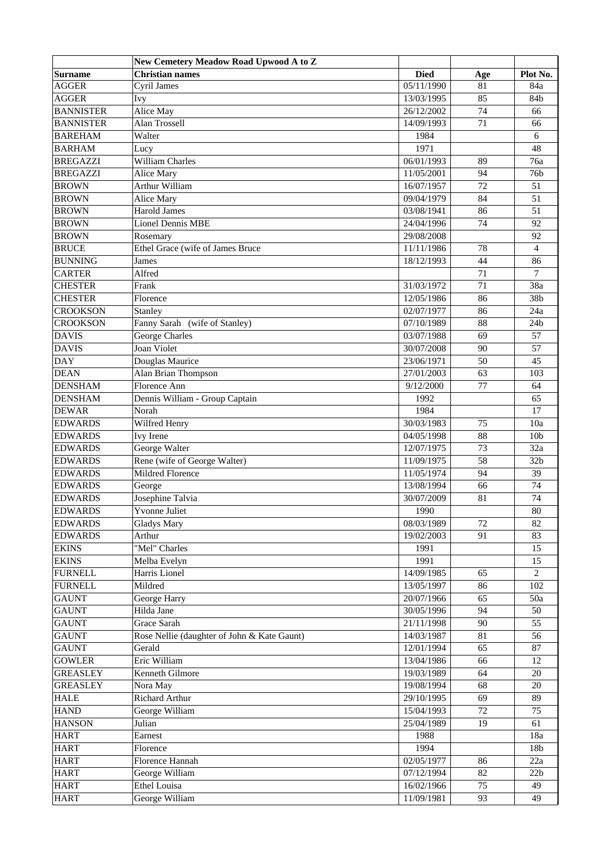|                  | New Cemetery Meadow Road Upwood A to Z      |             |          |                 |
|------------------|---------------------------------------------|-------------|----------|-----------------|
| <b>Surname</b>   | <b>Christian names</b>                      | <b>Died</b> | Age      | Plot No.        |
| <b>AGGER</b>     | <b>Cyril James</b>                          | 05/11/1990  | 81       | 84a             |
| <b>AGGER</b>     | <b>Ivy</b>                                  | 13/03/1995  | 85       | 84b             |
| <b>BANNISTER</b> | Alice May                                   | 26/12/2002  | 74       | 66              |
| <b>BANNISTER</b> | Alan Trossell                               | 14/09/1993  | 71       | 66              |
| <b>BAREHAM</b>   | Walter                                      | 1984        |          | 6               |
| <b>BARHAM</b>    | Lucy                                        | 1971        |          | 48              |
| <b>BREGAZZI</b>  | William Charles                             | 06/01/1993  | 89       | 76a             |
| <b>BREGAZZI</b>  | Alice Mary                                  | 11/05/2001  | 94       | 76b             |
| <b>BROWN</b>     | Arthur William                              | 16/07/1957  | 72       | 51              |
| <b>BROWN</b>     | Alice Mary                                  | 09/04/1979  | 84       | 51              |
| <b>BROWN</b>     | <b>Harold James</b>                         | 03/08/1941  | 86       | 51              |
| <b>BROWN</b>     | <b>Lionel Dennis MBE</b>                    | 24/04/1996  | 74       | 92              |
| <b>BROWN</b>     | Rosemary                                    | 29/08/2008  |          | 92              |
| <b>BRUCE</b>     | Ethel Grace (wife of James Bruce            | 11/11/1986  | 78       | $\overline{4}$  |
| <b>BUNNING</b>   | James                                       | 18/12/1993  | 44       | 86              |
| <b>CARTER</b>    | Alfred                                      |             | 71       | $\tau$          |
| <b>CHESTER</b>   | Frank                                       | 31/03/1972  | 71       | 38a             |
| <b>CHESTER</b>   | Florence                                    | 12/05/1986  | 86       | 38b             |
| <b>CROOKSON</b>  | Stanley                                     | 02/07/1977  | 86       | 24a             |
| <b>CROOKSON</b>  | Fanny Sarah (wife of Stanley)               | 07/10/1989  | 88       | 24 <sub>b</sub> |
| <b>DAVIS</b>     | <b>George Charles</b>                       | 03/07/1988  | 69       | 57              |
| <b>DAVIS</b>     | <b>Joan Violet</b>                          | 30/07/2008  | 90       | 57              |
| DAY              | Douglas Maurice                             | 23/06/1971  | 50       | 45              |
| <b>DEAN</b>      |                                             |             |          | 103             |
| <b>DENSHAM</b>   | Alan Brian Thompson<br>Florence Ann         | 27/01/2003  | 63<br>77 | 64              |
|                  |                                             | 9/12/2000   |          |                 |
| <b>DENSHAM</b>   | Dennis William - Group Captain              | 1992        |          | 65              |
| <b>DEWAR</b>     | Norah                                       | 1984        |          | 17              |
| <b>EDWARDS</b>   | Wilfred Henry                               | 30/03/1983  | 75       | 10a             |
| <b>EDWARDS</b>   | Ivy Irene                                   | 04/05/1998  | 88       | 10 <sub>b</sub> |
| <b>EDWARDS</b>   | George Walter                               | 12/07/1975  | 73       | 32a             |
| <b>EDWARDS</b>   | Rene (wife of George Walter)                | 11/09/1975  | 58       | 32 <sub>b</sub> |
| <b>EDWARDS</b>   | Mildred Florence                            | 11/05/1974  | 94       | 39              |
| <b>EDWARDS</b>   | George                                      | 13/08/1994  | 66       | 74              |
| <b>EDWARDS</b>   | Josephine Talvia                            | 30/07/2009  | 81       | 74              |
| <b>EDWARDS</b>   | Yvonne Juliet                               | 1990        |          | 80              |
| <b>EDWARDS</b>   | <b>Gladys Mary</b>                          | 08/03/1989  | 72       | 82              |
| <b>EDWARDS</b>   | Arthur                                      | 19/02/2003  | 91       | 83              |
| <b>EKINS</b>     | "Mel" Charles                               | 1991        |          | 15              |
| <b>EKINS</b>     | Melba Evelyn                                | 1991        |          | 15              |
| <b>FURNELL</b>   | Harris Lionel                               | 14/09/1985  | 65       | 2               |
| <b>FURNELL</b>   | Mildred                                     | 13/05/1997  | 86       | 102             |
| <b>GAUNT</b>     | George Harry                                | 20/07/1966  | 65       | 50a             |
| <b>GAUNT</b>     | Hilda Jane                                  | 30/05/1996  | 94       | 50              |
| <b>GAUNT</b>     | Grace Sarah                                 | 21/11/1998  | 90       | 55              |
| <b>GAUNT</b>     | Rose Nellie (daughter of John & Kate Gaunt) | 14/03/1987  | 81       | 56              |
| <b>GAUNT</b>     | Gerald                                      | 12/01/1994  | 65       | $87\,$          |
| <b>GOWLER</b>    | Eric William                                | 13/04/1986  | 66       | 12              |
| <b>GREASLEY</b>  | Kenneth Gilmore                             | 19/03/1989  | 64       | 20              |
| <b>GREASLEY</b>  | Nora May                                    | 19/08/1994  | 68       | 20              |
| <b>HALE</b>      | Richard Arthur                              | 29/10/1995  | 69       | 89              |
| <b>HAND</b>      | George William                              | 15/04/1993  | 72       | 75              |
| <b>HANSON</b>    | Julian                                      | 25/04/1989  | 19       | 61              |
| <b>HART</b>      | Earnest                                     | 1988        |          | 18a             |
| <b>HART</b>      | Florence                                    | 1994        |          | 18b             |
| <b>HART</b>      | Florence Hannah                             | 02/05/1977  | 86       | 22a             |
| <b>HART</b>      | George William                              | 07/12/1994  | 82       | 22b             |
| <b>HART</b>      | <b>Ethel Louisa</b>                         | 16/02/1966  | 75       | 49              |
| <b>HART</b>      | George William                              | 11/09/1981  | 93       | 49              |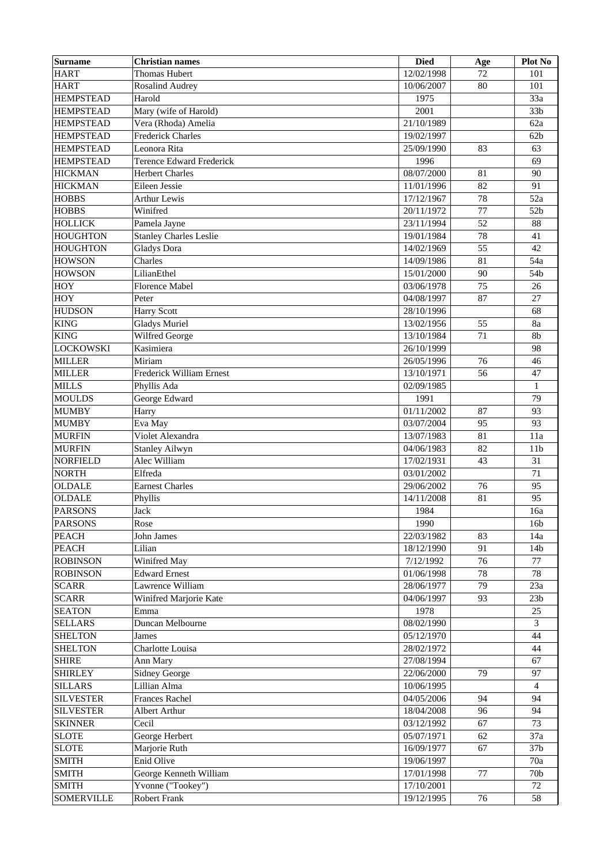| <b>Surname</b>    | <b>Christian names</b>          | <b>Died</b> | Age | <b>Plot No</b>  |
|-------------------|---------------------------------|-------------|-----|-----------------|
| <b>HART</b>       | <b>Thomas Hubert</b>            | 12/02/1998  | 72  | 101             |
| <b>HART</b>       | <b>Rosalind Audrey</b>          | 10/06/2007  | 80  | 101             |
| <b>HEMPSTEAD</b>  | Harold                          | 1975        |     | 33a             |
| <b>HEMPSTEAD</b>  | Mary (wife of Harold)           | 2001        |     | 33 <sub>b</sub> |
| <b>HEMPSTEAD</b>  | Vera (Rhoda) Amelia             | 21/10/1989  |     | 62a             |
| <b>HEMPSTEAD</b>  | <b>Frederick Charles</b>        | 19/02/1997  |     | 62 <sub>b</sub> |
| <b>HEMPSTEAD</b>  | Leonora Rita                    | 25/09/1990  | 83  | 63              |
| <b>HEMPSTEAD</b>  | <b>Terence Edward Frederick</b> | 1996        |     | 69              |
| <b>HICKMAN</b>    | <b>Herbert Charles</b>          | 08/07/2000  | 81  | 90              |
| <b>HICKMAN</b>    | Eileen Jessie                   | 11/01/1996  | 82  | 91              |
| <b>HOBBS</b>      | <b>Arthur Lewis</b>             | 17/12/1967  | 78  | 52a             |
| <b>HOBBS</b>      | Winifred                        | 20/11/1972  | 77  | 52b             |
| <b>HOLLICK</b>    | Pamela Jayne                    | 23/11/1994  | 52  | 88              |
| <b>HOUGHTON</b>   | <b>Stanley Charles Leslie</b>   | 19/01/1984  | 78  | 41              |
| <b>HOUGHTON</b>   | <b>Gladys</b> Dora              | 14/02/1969  | 55  | 42              |
| <b>HOWSON</b>     | Charles                         | 14/09/1986  | 81  | 54a             |
| <b>HOWSON</b>     | LilianEthel                     |             | 90  | 54b             |
|                   |                                 | 15/01/2000  |     |                 |
| <b>HOY</b>        | Florence Mabel                  | 03/06/1978  | 75  | 26              |
| <b>HOY</b>        | Peter                           | 04/08/1997  | 87  | 27              |
| <b>HUDSON</b>     | <b>Harry Scott</b>              | 28/10/1996  |     | 68              |
| <b>KING</b>       | <b>Gladys Muriel</b>            | 13/02/1956  | 55  | 8a              |
| <b>KING</b>       | Wilfred George                  | 13/10/1984  | 71  | 8b              |
| <b>LOCKOWSKI</b>  | Kasimiera                       | 26/10/1999  |     | 98              |
| <b>MILLER</b>     | Miriam                          | 26/05/1996  | 76  | 46              |
| <b>MILLER</b>     | Frederick William Ernest        | 13/10/1971  | 56  | 47              |
| <b>MILLS</b>      | Phyllis Ada                     | 02/09/1985  |     | $\mathbf{1}$    |
| <b>MOULDS</b>     | George Edward                   | 1991        |     | 79              |
| <b>MUMBY</b>      | Harry                           | 01/11/2002  | 87  | 93              |
| <b>MUMBY</b>      | Eva May                         | 03/07/2004  | 95  | 93              |
| <b>MURFIN</b>     | Violet Alexandra                | 13/07/1983  | 81  | 11a             |
| <b>MURFIN</b>     | <b>Stanley Ailwyn</b>           | 04/06/1983  | 82  | 11 <sub>b</sub> |
| <b>NORFIELD</b>   | Alec William                    | 17/02/1931  | 43  | 31              |
| <b>NORTH</b>      | Elfreda                         | 03/01/2002  |     | 71              |
| <b>OLDALE</b>     | <b>Earnest Charles</b>          | 29/06/2002  | 76  | 95              |
| <b>OLDALE</b>     | Phyllis                         | 14/11/2008  | 81  | 95              |
| <b>PARSONS</b>    | Jack                            | 1984        |     | 16a             |
| <b>PARSONS</b>    | Rose                            | 1990        |     | 16 <sub>b</sub> |
| <b>PEACH</b>      | John James                      | 22/03/1982  | 83  | 14a             |
| <b>PEACH</b>      | Lilian                          | 18/12/1990  | 91  | 14 <sub>b</sub> |
| <b>ROBINSON</b>   | Winifred May                    | 7/12/1992   | 76  | 77              |
| <b>ROBINSON</b>   | <b>Edward Ernest</b>            | 01/06/1998  | 78  | 78              |
| <b>SCARR</b>      | Lawrence William                | 28/06/1977  | 79  | 23a             |
| <b>SCARR</b>      | Winifred Marjorie Kate          | 04/06/1997  | 93  | 23 <sub>b</sub> |
| <b>SEATON</b>     | Emma                            | 1978        |     | 25              |
| <b>SELLARS</b>    | Duncan Melbourne                | 08/02/1990  |     | 3               |
| <b>SHELTON</b>    | James                           | 05/12/1970  |     | 44              |
|                   |                                 |             |     |                 |
| <b>SHELTON</b>    | Charlotte Louisa                | 28/02/1972  |     | 44              |
| <b>SHIRE</b>      | Ann Mary                        | 27/08/1994  |     | 67              |
| <b>SHIRLEY</b>    | Sidney George                   | 22/06/2000  | 79  | 97              |
| <b>SILLARS</b>    | Lillian Alma                    | 10/06/1995  |     | 4               |
| <b>SILVESTER</b>  | <b>Frances Rachel</b>           | 04/05/2006  | 94  | 94              |
| <b>SILVESTER</b>  | Albert Arthur                   | 18/04/2008  | 96  | 94              |
| <b>SKINNER</b>    | Cecil                           | 03/12/1992  | 67  | 73              |
| <b>SLOTE</b>      | George Herbert                  | 05/07/1971  | 62  | 37a             |
| <b>SLOTE</b>      | Marjorie Ruth                   | 16/09/1977  | 67  | 37 <sub>b</sub> |
| <b>SMITH</b>      | Enid Olive                      | 19/06/1997  |     | 70a             |
| <b>SMITH</b>      | George Kenneth William          | 17/01/1998  | 77  | 70 <sub>b</sub> |
| <b>SMITH</b>      | Yvonne ("Tookey")               | 17/10/2001  |     | 72              |
| <b>SOMERVILLE</b> | Robert Frank                    | 19/12/1995  | 76  | 58              |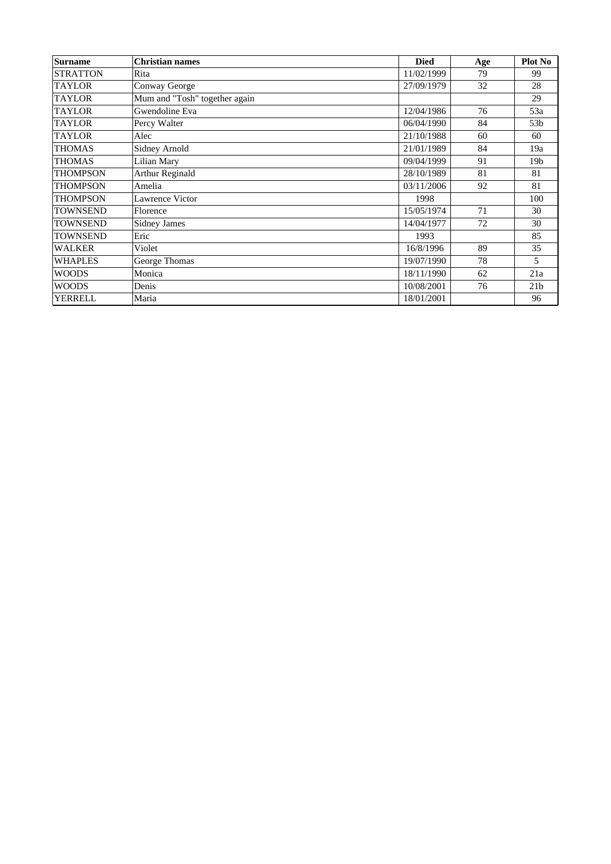| <b>Surname</b>  | <b>Christian names</b>        | <b>Died</b> | Age | Plot No         |
|-----------------|-------------------------------|-------------|-----|-----------------|
| <b>STRATTON</b> | Rita                          | 11/02/1999  | 79  | 99              |
| <b>TAYLOR</b>   | Conway George                 | 27/09/1979  | 32  | 28              |
| <b>TAYLOR</b>   | Mum and "Tosh" together again |             |     | 29              |
| <b>TAYLOR</b>   | Gwendoline Eva                | 12/04/1986  | 76  | 53a             |
| <b>TAYLOR</b>   | Percy Walter                  | 06/04/1990  | 84  | 53 <sub>b</sub> |
| <b>TAYLOR</b>   | Alec                          | 21/10/1988  | 60  | 60              |
| <b>THOMAS</b>   | Sidney Arnold                 | 21/01/1989  | 84  | 19a             |
| <b>THOMAS</b>   | Lilian Mary                   | 09/04/1999  | 91  | 19 <sub>b</sub> |
| <b>THOMPSON</b> | Arthur Reginald               | 28/10/1989  | 81  | 81              |
| <b>THOMPSON</b> | Amelia                        | 03/11/2006  | 92  | 81              |
| <b>THOMPSON</b> | Lawrence Victor               | 1998        |     | 100             |
| <b>TOWNSEND</b> | Florence                      | 15/05/1974  | 71  | 30              |
| <b>TOWNSEND</b> | <b>Sidney James</b>           | 14/04/1977  | 72  | 30              |
| <b>TOWNSEND</b> | Eric                          | 1993        |     | 85              |
| <b>WALKER</b>   | Violet                        | 16/8/1996   | 89  | 35              |
| <b>WHAPLES</b>  | George Thomas                 | 19/07/1990  | 78  | 5               |
| <b>WOODS</b>    | Monica                        | 18/11/1990  | 62  | 21a             |
| <b>WOODS</b>    | Denis                         | 10/08/2001  | 76  | 21 <sub>b</sub> |
| <b>YERRELL</b>  | Maria                         | 18/01/2001  |     | 96              |